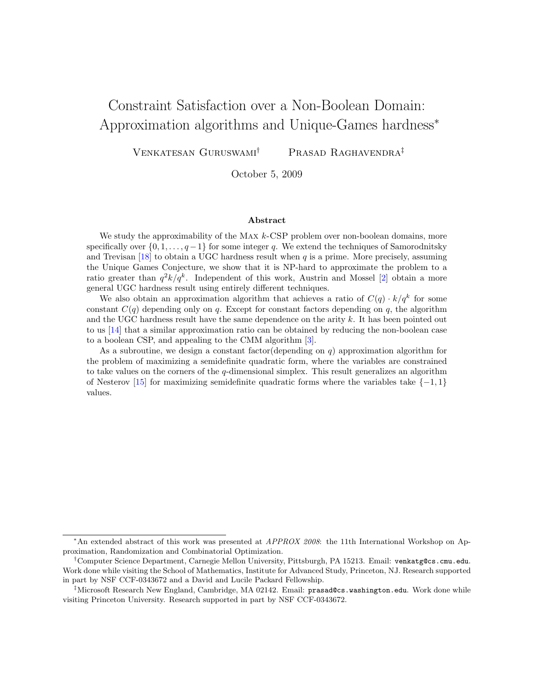# <span id="page-0-0"></span>Constraint Satisfaction over a Non-Boolean Domain: Approximation algorithms and Unique-Games hardness<sup>∗</sup>

Venkatesan Guruswami† Prasad Raghavendra‡

October 5, 2009

#### Abstract

We study the approximability of the MAX  $k$ -CSP problem over non-boolean domains, more specifically over  $\{0, 1, \ldots, q-1\}$  for some integer q. We extend the techniques of Samorodnitsky and Trevisan [\[18\]](#page-18-0) to obtain a UGC hardness result when  $q$  is a prime. More precisely, assuming the Unique Games Conjecture, we show that it is NP-hard to approximate the problem to a ratio greater than  $q^2k/q^k$ . Independent of this work, Austrin and Mossel [\[2\]](#page-17-0) obtain a more general UGC hardness result using entirely different techniques.

We also obtain an approximation algorithm that achieves a ratio of  $C(q) \cdot k/q^k$  for some constant  $C(q)$  depending only on q. Except for constant factors depending on q, the algorithm and the UGC hardness result have the same dependence on the arity  $k$ . It has been pointed out to us [\[14\]](#page-18-1) that a similar approximation ratio can be obtained by reducing the non-boolean case to a boolean CSP, and appealing to the CMM algorithm [\[3\]](#page-17-1).

As a subroutine, we design a constant factor (depending on  $q$ ) approximation algorithm for the problem of maximizing a semidefinite quadratic form, where the variables are constrained to take values on the corners of the  $q$ -dimensional simplex. This result generalizes an algorithm of Nesterov [\[15\]](#page-18-2) for maximizing semidefinite quadratic forms where the variables take  $\{-1, 1\}$ values.

<sup>∗</sup>An extended abstract of this work was presented at APPROX 2008: the 11th International Workshop on Approximation, Randomization and Combinatorial Optimization.

<sup>†</sup>Computer Science Department, Carnegie Mellon University, Pittsburgh, PA 15213. Email: venkatg@cs.cmu.edu. Work done while visiting the School of Mathematics, Institute for Advanced Study, Princeton, NJ. Research supported in part by NSF CCF-0343672 and a David and Lucile Packard Fellowship.

<sup>‡</sup>Microsoft Research New England, Cambridge, MA 02142. Email: prasad@cs.washington.edu. Work done while visiting Princeton University. Research supported in part by NSF CCF-0343672.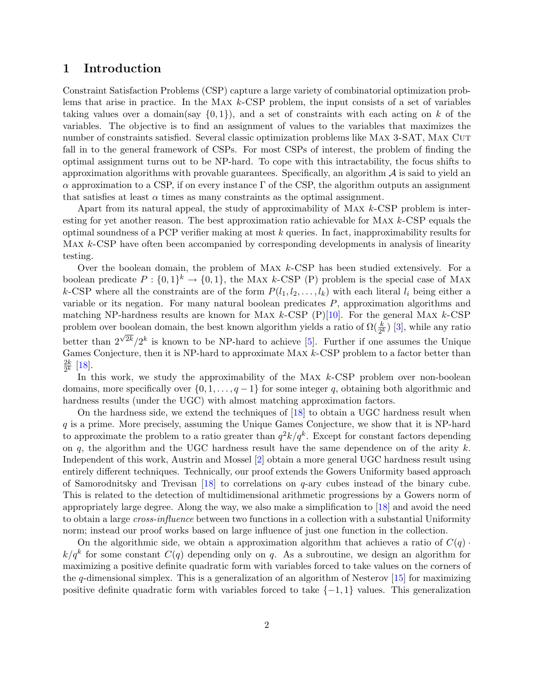### <span id="page-1-0"></span>1 Introduction

Constraint Satisfaction Problems (CSP) capture a large variety of combinatorial optimization problems that arise in practice. In the Max k-CSP problem, the input consists of a set of variables taking values over a domain(say  $\{0,1\}$ ), and a set of constraints with each acting on k of the variables. The objective is to find an assignment of values to the variables that maximizes the number of constraints satisfied. Several classic optimization problems like MAX 3-SAT, MAX CUT fall in to the general framework of CSPs. For most CSPs of interest, the problem of finding the optimal assignment turns out to be NP-hard. To cope with this intractability, the focus shifts to approximation algorithms with provable guarantees. Specifically, an algorithm  $A$  is said to yield an  $\alpha$  approximation to a CSP, if on every instance  $\Gamma$  of the CSP, the algorithm outputs an assignment that satisfies at least  $\alpha$  times as many constraints as the optimal assignment.

Apart from its natural appeal, the study of approximability of Max k-CSP problem is interesting for yet another reason. The best approximation ratio achievable for Max k-CSP equals the optimal soundness of a PCP verifier making at most  $k$  queries. In fact, inapproximability results for Max k-CSP have often been accompanied by corresponding developments in analysis of linearity testing.

Over the boolean domain, the problem of MAX  $k$ -CSP has been studied extensively. For a boolean predicate  $P: \{0,1\}^k \to \{0,1\}$ , the MAX k-CSP (P) problem is the special case of MAX k-CSP where all the constraints are of the form  $P(l_1, l_2, \ldots, l_k)$  with each literal  $l_i$  being either a variable or its negation. For many natural boolean predicates P, approximation algorithms and matching NP-hardness results are known for MAX  $k$ -CSP  $(P)[10]$  $(P)[10]$ . For the general MAX  $k$ -CSP problem over boolean domain, the best known algorithm yields a ratio of  $\Omega(\frac{k}{2^k})$  [\[3\]](#page-17-1), while any ratio better than  $2^{\sqrt{2k}}/2^k$  is known to be NP-hard to achieve [\[5\]](#page-17-2). Further if one assumes the Unique Games Conjecture, then it is NP-hard to approximate MAX  $k$ -CSP problem to a factor better than  $\frac{2k}{2}$  $\frac{2k}{2^k}$  [\[18\]](#page-18-0).

In this work, we study the approximability of the MAX  $k$ -CSP problem over non-boolean domains, more specifically over  $\{0, 1, \ldots, q-1\}$  for some integer q, obtaining both algorithmic and hardness results (under the UGC) with almost matching approximation factors.

On the hardness side, we extend the techniques of [\[18\]](#page-18-0) to obtain a UGC hardness result when q is a prime. More precisely, assuming the Unique Games Conjecture, we show that it is NP-hard to approximate the problem to a ratio greater than  $q^2k/q^k$ . Except for constant factors depending on q, the algorithm and the UGC hardness result have the same dependence on of the arity  $k$ . Independent of this work, Austrin and Mossel [\[2\]](#page-17-0) obtain a more general UGC hardness result using entirely different techniques. Technically, our proof extends the Gowers Uniformity based approach of Samorodnitsky and Trevisan  $[18]$  to correlations on q-ary cubes instead of the binary cube. This is related to the detection of multidimensional arithmetic progressions by a Gowers norm of appropriately large degree. Along the way, we also make a simplification to [\[18\]](#page-18-0) and avoid the need to obtain a large *cross-influence* between two functions in a collection with a substantial Uniformity norm; instead our proof works based on large influence of just one function in the collection.

On the algorithmic side, we obtain a approximation algorithm that achieves a ratio of  $C(q)$ .  $k/q^k$  for some constant  $C(q)$  depending only on q. As a subroutine, we design an algorithm for maximizing a positive definite quadratic form with variables forced to take values on the corners of the q-dimensional simplex. This is a generalization of an algorithm of Nesterov  $[15]$  for maximizing positive definite quadratic form with variables forced to take  $\{-1,1\}$  values. This generalization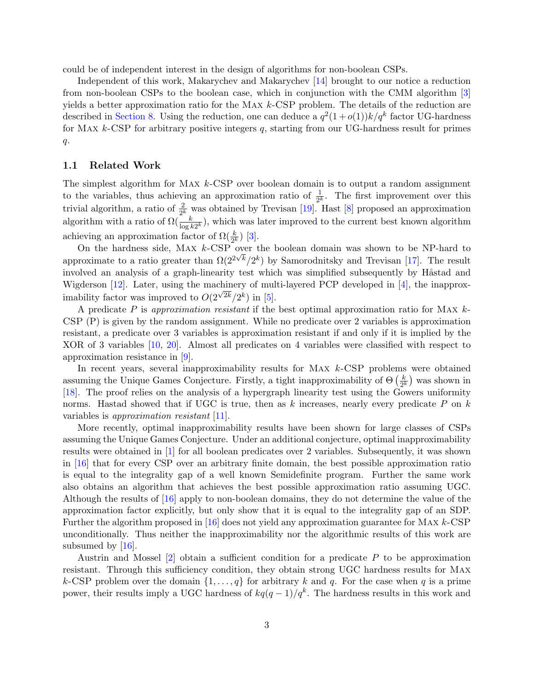<span id="page-2-0"></span>could be of independent interest in the design of algorithms for non-boolean CSPs.

Independent of this work, Makarychev and Makarychev [\[14\]](#page-18-1) brought to our notice a reduction from non-boolean CSPs to the boolean case, which in conjunction with the CMM algorithm [\[3\]](#page-17-1) yields a better approximation ratio for the MAX  $k$ -CSP problem. The details of the reduction are described in [Section 8.](#page-17-3) Using the reduction, one can deduce a  $q^2(1+o(1))k/q^k$  factor UG-hardness for MAX  $k$ -CSP for arbitrary positive integers  $q$ , starting from our UG-hardness result for primes  $q$ .

### 1.1 Related Work

The simplest algorithm for MAX  $k$ -CSP over boolean domain is to output a random assignment to the variables, thus achieving an approximation ratio of  $\frac{1}{2^k}$ . The first improvement over this trivial algorithm, a ratio of  $\frac{2}{2^k}$  was obtained by Trevisan [\[19\]](#page-18-4). Hast [\[8\]](#page-18-5) proposed an approximation algorithm with a ratio of  $\Omega(\frac{k}{\log k 2^k})$ , which was later improved to the current best known algorithm achieving an approximation factor of  $\Omega(\frac{k}{2^k})$  [\[3\]](#page-17-1).

On the hardness side, MAX  $k$ -CSP over the boolean domain was shown to be NP-hard to approximate to a ratio greater than  $\Omega(2^{2\sqrt{k}}/2^k)$  by Samorodnitsky and Trevisan [\[17\]](#page-18-6). The result involved an analysis of a graph-linearity test which was simplified subsequently by Håstad and Wigderson [\[12\]](#page-18-7). Later, using the machinery of multi-layered PCP developed in [\[4\]](#page-17-4), the inapproximability factor was improved to  $O(2)$  $\sqrt{2k}/2^k$ ) in [\[5\]](#page-17-2).

A predicate P is approximation resistant if the best optimal approximation ratio for MAX  $k$ -CSP (P) is given by the random assignment. While no predicate over 2 variables is approximation resistant, a predicate over 3 variables is approximation resistant if and only if it is implied by the XOR of 3 variables [\[10,](#page-18-3) [20\]](#page-18-8). Almost all predicates on 4 variables were classified with respect to approximation resistance in [\[9\]](#page-18-9).

In recent years, several inapproximability results for MAX  $k$ -CSP problems were obtained assuming the Unique Games Conjecture. Firstly, a tight inapproximability of  $\Theta\left(\frac{k}{2k}\right)$  $(\frac{k}{2^k})$  was shown in [\[18\]](#page-18-0). The proof relies on the analysis of a hypergraph linearity test using the Gowers uniformity norms. Hastad showed that if UGC is true, then as k increases, nearly every predicate  $P$  on  $k$ variables is approximation resistant [\[11\]](#page-18-10).

More recently, optimal inapproximability results have been shown for large classes of CSPs assuming the Unique Games Conjecture. Under an additional conjecture, optimal inapproximability results were obtained in [\[1\]](#page-17-5) for all boolean predicates over 2 variables. Subsequently, it was shown in [\[16\]](#page-18-11) that for every CSP over an arbitrary finite domain, the best possible approximation ratio is equal to the integrality gap of a well known Semidefinite program. Further the same work also obtains an algorithm that achieves the best possible approximation ratio assuming UGC. Although the results of [\[16\]](#page-18-11) apply to non-boolean domains, they do not determine the value of the approximation factor explicitly, but only show that it is equal to the integrality gap of an SDP. Further the algorithm proposed in [\[16\]](#page-18-11) does not yield any approximation guarantee for Max k-CSP unconditionally. Thus neither the inapproximability nor the algorithmic results of this work are subsumed by  $[16]$ .

Austrin and Mossel  $[2]$  obtain a sufficient condition for a predicate P to be approximation resistant. Through this sufficiency condition, they obtain strong UGC hardness results for Max k-CSP problem over the domain  $\{1,\ldots,q\}$  for arbitrary k and q. For the case when q is a prime power, their results imply a UGC hardness of  $kq(q-1)/q^k$ . The hardness results in this work and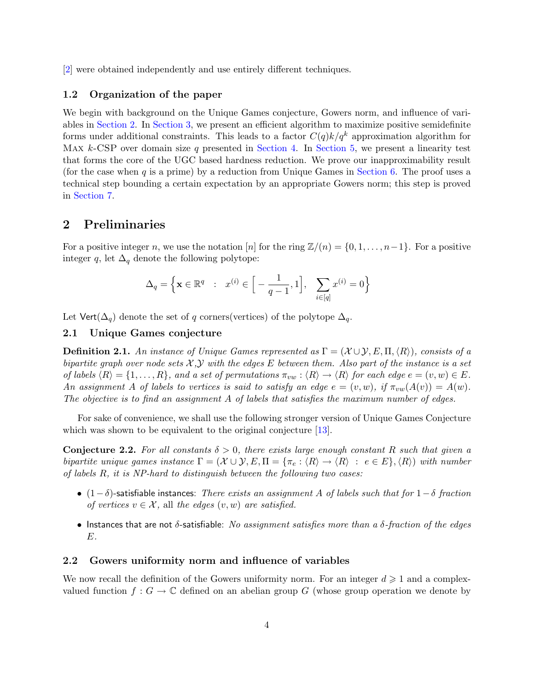<span id="page-3-1"></span>[\[2\]](#page-17-0) were obtained independently and use entirely different techniques.

### 1.2 Organization of the paper

We begin with background on the Unique Games conjecture, Gowers norm, and influence of variables in [Section 2.](#page-3-0) In [Section 3,](#page-5-0) we present an efficient algorithm to maximize positive semidefinite forms under additional constraints. This leads to a factor  $C(q)k/q^k$  approximation algorithm for Max  $k$ -CSP over domain size q presented in [Section 4.](#page-7-0) In [Section 5,](#page-9-0) we present a linearity test that forms the core of the UGC based hardness reduction. We prove our inapproximability result (for the case when  $q$  is a prime) by a reduction from Unique Games in [Section 6.](#page-10-0) The proof uses a technical step bounding a certain expectation by an appropriate Gowers norm; this step is proved in [Section 7.](#page-14-0)

### <span id="page-3-0"></span>2 Preliminaries

For a positive integer n, we use the notation [n] for the ring  $\mathbb{Z}/(n) = \{0, 1, \ldots, n-1\}$ . For a positive integer q, let  $\Delta_q$  denote the following polytope:

$$
\Delta_q = \Big\{ \mathbf{x} \in \mathbb{R}^q \ : \ x^{(i)} \in \Big[ -\frac{1}{q-1}, 1 \Big], \ \sum_{i \in [q]} x^{(i)} = 0 \Big\}
$$

Let  $Vert(\Delta_q)$  denote the set of q corners(vertices) of the polytope  $\Delta_q$ .

### 2.1 Unique Games conjecture

**Definition 2.1.** An instance of Unique Games represented as  $\Gamma = (\mathcal{X} \cup \mathcal{Y}, E, \Pi, \langle R \rangle)$ , consists of a bipartite graph over node sets  $\mathcal{X}, \mathcal{Y}$  with the edges E between them. Also part of the instance is a set of labels  $\langle R \rangle = \{1, \ldots, R\}$ , and a set of permutations  $\pi_{vw} : \langle R \rangle \to \langle R \rangle$  for each edge  $e = (v, w) \in E$ . An assignment A of labels to vertices is said to satisfy an edge  $e = (v, w)$ , if  $\pi_{vw}(A(v)) = A(w)$ . The objective is to find an assignment A of labels that satisfies the maximum number of edges.

For sake of convenience, we shall use the following stronger version of Unique Games Conjecture which was shown to be equivalent to the original conjecture [\[13\]](#page-18-12).

**Conjecture 2.2.** For all constants  $\delta > 0$ , there exists large enough constant R such that given a bipartite unique games instance  $\Gamma = (\mathcal{X} \cup \mathcal{Y}, E, \Pi = {\pi_e : \langle R \rangle \rightarrow \langle R \rangle : e \in E}, \langle R \rangle)$  with number of labels R, it is NP-hard to distinguish between the following two cases:

- (1−δ)-satisfiable instances: There exists an assignment A of labels such that for  $1-\delta$  fraction of vertices  $v \in \mathcal{X}$ , all the edges  $(v, w)$  are satisfied.
- Instances that are not  $\delta$ -satisfiable: No assignment satisfies more than a  $\delta$ -fraction of the edges E.

#### 2.2 Gowers uniformity norm and influence of variables

We now recall the definition of the Gowers uniformity norm. For an integer  $d \geq 1$  and a complexvalued function  $f: G \to \mathbb{C}$  defined on an abelian group G (whose group operation we denote by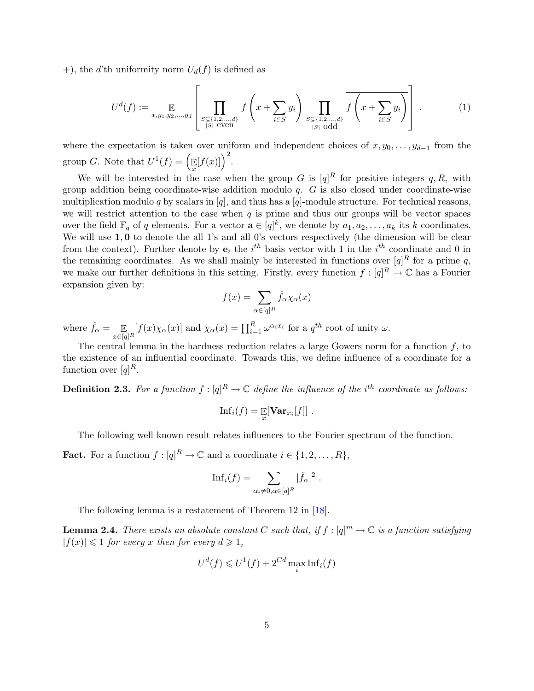<span id="page-4-1"></span>+), the d'th uniformity norm  $U_d(f)$  is defined as

$$
U^{d}(f) := \mathop{\mathbb{E}}_{x,y_1,y_2,\dots,y_d} \left[ \prod_{\substack{S \subseteq \{1,2,\dots,d\} \\ |S| \text{ even}}} f\left(x + \sum_{i \in S} y_i\right) \prod_{\substack{S \subseteq \{1,2,\dots,d\} \\ |S| \text{ odd}}} \overline{f\left(x + \sum_{i \in S} y_i\right)} \right].
$$
 (1)

where the expectation is taken over uniform and independent choices of  $x, y_0, \ldots, y_{d-1}$  from the group G. Note that  $U^1(f) = \Big(\mathbb{E}\Big)$  $\mathbb{E}[f(x)]\Big)^2.$ 

We will be interested in the case when the group G is  $[q]^R$  for positive integers q, R, with group addition being coordinate-wise addition modulo  $q$ .  $G$  is also closed under coordinate-wise multiplication modulo q by scalars in [q], and thus has a [q]-module structure. For technical reasons, we will restrict attention to the case when  $q$  is prime and thus our groups will be vector spaces over the field  $\mathbb{F}_q$  of q elements. For a vector  $\mathbf{a} \in [q]^k$ , we denote by  $a_1, a_2, \ldots, a_k$  its k coordinates. We will use  $1, 0$  to denote the all 1's and all 0's vectors respectively (the dimension will be clear from the context). Further denote by  $e_i$  the i<sup>th</sup> basis vector with 1 in the i<sup>th</sup> coordinate and 0 in the remaining coordinates. As we shall mainly be interested in functions over  $[q]^R$  for a prime q, we make our further definitions in this setting. Firstly, every function  $f: [q]^R \to \mathbb{C}$  has a Fourier expansion given by:

$$
f(x) = \sum_{\alpha \in [q]^R} \hat{f}_{\alpha} \chi_{\alpha}(x)
$$

where  $\hat{f}_{\alpha} = \mathop{\mathbb{E}}_{x \in [q]^R} [f(x) \chi_{\alpha}(x)]$  and  $\chi_{\alpha}(x) = \prod_{i=1}^R \omega^{\alpha_i x_i}$  for a  $q^{th}$  root of unity  $\omega$ .

The central lemma in the hardness reduction relates a large Gowers norm for a function  $f$ , to the existence of an influential coordinate. Towards this, we define influence of a coordinate for a function over  $[q]^R$ .

**Definition 2.3.** For a function  $f : [q]^R \to \mathbb{C}$  define the influence of the i<sup>th</sup> coordinate as follows:

$$
\mathrm{Inf}_i(f) = \mathop{\mathbb{E}}_x[\mathbf{Var}_{x_i}[f]] .
$$

The following well known result relates influences to the Fourier spectrum of the function.

**Fact.** For a function  $f: [q]^R \to \mathbb{C}$  and a coordinate  $i \in \{1, 2, ..., R\}$ ,

$$
\mathrm{Inf}_i(f) = \sum_{\alpha_i \neq 0, \alpha \in [q]^R} |\hat{f}_{\alpha}|^2.
$$

The following lemma is a restatement of Theorem 12 in [\[18\]](#page-18-0).

<span id="page-4-0"></span>**Lemma 2.4.** There exists an absolute constant C such that, if  $f : [q]^m \to \mathbb{C}$  is a function satisfying  $|f(x)| \leq 1$  for every x then for every  $d \geq 1$ ,

$$
U^d(f) \leq U^1(f) + 2^{Cd} \max_i \text{Inf}_i(f)
$$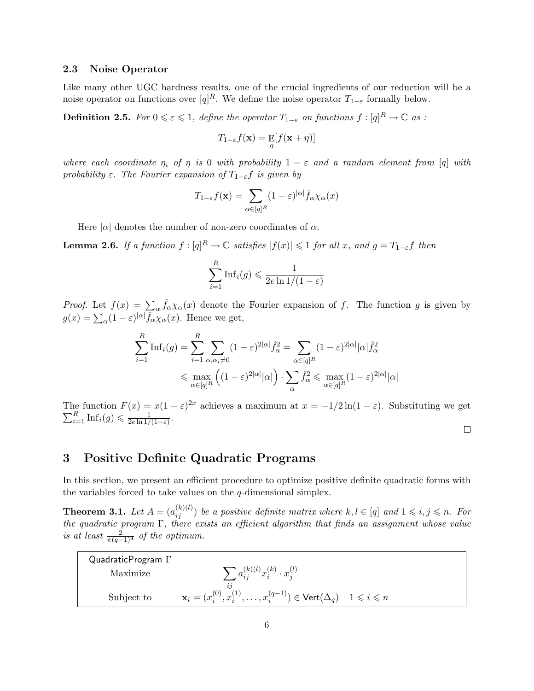### 2.3 Noise Operator

Like many other UGC hardness results, one of the crucial ingredients of our reduction will be a noise operator on functions over  $[q]^R$ . We define the noise operator  $T_{1-\varepsilon}$  formally below.

**Definition 2.5.** For  $0 \leqslant \varepsilon \leqslant 1$ , define the operator  $T_{1-\varepsilon}$  on functions  $f : [q]^R \to \mathbb{C}$  as :

$$
T_{1-\varepsilon}f(\mathbf{x}) = \mathop{\mathbb{E}}_{\eta}[f(\mathbf{x} + \eta)]
$$

where each coordinate  $\eta_i$  of  $\eta$  is 0 with probability  $1 - \varepsilon$  and a random element from [q] with probability  $\varepsilon$ . The Fourier expansion of  $T_{1-\varepsilon}f$  is given by

$$
T_{1-\varepsilon}f(\mathbf{x}) = \sum_{\alpha \in [q]^R} (1-\varepsilon)^{|\alpha|} \hat{f}_{\alpha} \chi_{\alpha}(x)
$$

Here  $|\alpha|$  denotes the number of non-zero coordinates of  $\alpha$ .

<span id="page-5-2"></span>**Lemma 2.6.** If a function  $f : [q]^R \to \mathbb{C}$  satisfies  $|f(x)| \leq 1$  for all x, and  $g = T_{1-\varepsilon}f$  then

$$
\sum_{i=1}^{R} \text{Inf}_i(g) \leq \frac{1}{2e \ln 1/(1-\varepsilon)}
$$

*Proof.* Let  $f(x) = \sum_{\alpha} \hat{f}_{\alpha} \chi_{\alpha}(x)$  denote the Fourier expansion of f. The function g is given by  $g(x) = \sum_{\alpha} (1 - \varepsilon)^{|\alpha|} \hat{f}_{\alpha} \tilde{\chi}_{\alpha}(x)$ . Hence we get,

$$
\sum_{i=1}^{R} \text{Inf}_i(g) = \sum_{i=1}^{R} \sum_{\alpha, \alpha_i \neq 0} (1 - \varepsilon)^{2|\alpha|} \hat{f}_{\alpha}^2 = \sum_{\alpha \in [q]^R} (1 - \varepsilon)^{2|\alpha|} |\alpha| \hat{f}_{\alpha}^2
$$

$$
\leq \max_{\alpha \in [q]^R} \left( (1 - \varepsilon)^{2|\alpha|} |\alpha| \right) \cdot \sum_{\alpha} \hat{f}_{\alpha}^2 \leq \max_{\alpha \in [q]^R} (1 - \varepsilon)^{2|\alpha|} |\alpha|
$$

The function  $F(x) = x(1 - \varepsilon)^{2x}$ achieves a maximum at  $x = -1/2 \ln(1 - \varepsilon)$ . Substituting we get  $\frac{R}{i} \ln f_i(g) \leq \frac{1}{2e \ln 1/(1 - \varepsilon)}$ .  $\sum$  $\frac{1}{2e\ln 1/(1-\varepsilon)}$ .  $\Box$ 

## <span id="page-5-0"></span>3 Positive Definite Quadratic Programs

In this section, we present an efficient procedure to optimize positive definite quadratic forms with the variables forced to take values on the q-dimensional simplex.

<span id="page-5-1"></span>**Theorem 3.1.** Let  $A = (a_{ij}^{(k)(l)})$  be a positive definite matrix where  $k, l \in [q]$  and  $1 \leqslant i, j \leqslant n$ . For the quadratic program Γ, there exists an efficient algorithm that finds an assignment whose value is at least  $\frac{2}{\pi(q-1)^4}$  of the optimum.

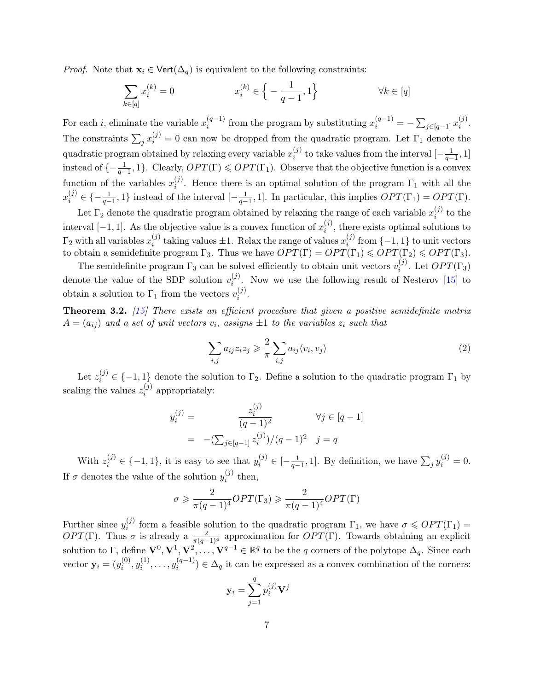<span id="page-6-0"></span>*Proof.* Note that  $\mathbf{x}_i \in \text{Vert}(\Delta_q)$  is equivalent to the following constraints:

$$
\sum_{k \in [q]} x_i^{(k)} = 0 \qquad x_i^{(k)} \in \left\{ -\frac{1}{q-1}, 1 \right\} \qquad \forall k \in [q]
$$

For each *i*, eliminate the variable  $x_i^{(q-1)}$  $i^{(q-1)}$  from the program by substituting  $x_i^{(q-1)} = -\sum_{j \in [q-1]} x_i^{(j)}$  $\binom{j}{i}$ . The constraints  $\sum_j x_i^{(j)} = 0$  can now be dropped from the quadratic program. Let  $\Gamma_1$  denote the quadratic program obtained by relaxing every variable  $x_i^{(j)}$  $i^{(j)}$  to take values from the interval  $\left[-\frac{1}{q-1},1\right]$ instead of  $\{-\frac{1}{q-1}, 1\}$ . Clearly,  $OPT(\Gamma) \leq OPT(\Gamma_1)$ . Observe that the objective function is a convex function of the variables  $x_i^{(j)}$ <sup>(*j*)</sup>. Hence there is an optimal solution of the program  $\Gamma_1$  with all the  $x_i^{(j)} \in \{-\frac{1}{q-1}, 1\}$  instead of the interval  $[-\frac{1}{q-1}, 1]$ . In particular, this implies  $OPT(\Gamma_1) = OPT(\Gamma)$ .

Let  $\Gamma_2$  denote the quadratic program obtained by relaxing the range of each variable  $x_i^{(j)}$  $i^{(J)}$  to the interval [-1, 1]. As the objective value is a convex function of  $x_i^{(j)}$  $i^{(j)}$ , there exists optimal solutions to  $\Gamma_2$  with all variables  $x_i^{(j)}$  $i_j^{(j)}$  taking values  $\pm 1$ . Relax the range of values  $x_i^{(j)}$  $i_j^{(j)}$  from  $\{-1,1\}$  to unit vectors to obtain a semidefinite program  $\Gamma_3$ . Thus we have  $OPT(\Gamma) = OPT(\Gamma_1) \leq OPT(\Gamma_2) \leq OPT(\Gamma_3)$ .

The semidefinite program  $\Gamma_3$  can be solved efficiently to obtain unit vectors  $v_i^{(j)}$  $i^{(j)}$ . Let  $OPT(\Gamma_3)$ denote the value of the SDP solution  $v_i^{(j)}$  $i^{(j)}$ . Now we use the following result of Nesterov [\[15\]](#page-18-2) to obtain a solution to  $\Gamma_1$  from the vectors  $v_i^{(j)}$  $\binom{J}{i}$ .

**Theorem 3.2.** [\[15\]](#page-18-2) There exists an efficient procedure that given a positive semidefinite matrix  $A = (a_{ij})$  and a set of unit vectors  $v_i$ , assigns  $\pm 1$  to the variables  $z_i$  such that

$$
\sum_{i,j} a_{ij} z_i z_j \geqslant \frac{2}{\pi} \sum_{i,j} a_{ij} \langle v_i, v_j \rangle \tag{2}
$$

Let  $z_i^{(j)} \in \{-1,1\}$  denote the solution to  $\Gamma_2$ . Define a solution to the quadratic program  $\Gamma_1$  by scaling the values  $z_i^{(j)}$  $i^{(j)}$  appropriately:

$$
y_i^{(j)} = \frac{z_i^{(j)}}{(q-1)^2} \qquad \forall j \in [q-1]
$$
  
=  $-(\sum_{j \in [q-1]} z_i^{(j)})/(q-1)^2 \quad j = q$ 

With  $z_i^{(j)} \in \{-1,1\}$ , it is easy to see that  $y_i^{(j)} \in \left[-\frac{1}{q-1},1\right]$ . By definition, we have  $\sum_j y_i^{(j)} = 0$ . If  $\sigma$  denotes the value of the solution  $y_i^{(j)}$  $i^{(J)}$  then,

$$
\sigma \geqslant \frac{2}{\pi (q-1)^4} OPT(\Gamma_3) \geqslant \frac{2}{\pi (q-1)^4} OPT(\Gamma)
$$

Further since  $y_i^{(j)}$ <sup>(j)</sup> form a feasible solution to the quadratic program  $\Gamma_1$ , we have  $\sigma \leqslant OPT(\Gamma_1)$ OPT(Γ). Thus σ is already a  $\frac{2}{\pi(q-1)^4}$  approximation for OPT(Γ). Towards obtaining an explicit solution to  $\Gamma$ , define  $\mathbf{V}^0, \mathbf{V}^1, \mathbf{V}^2, \ldots, \mathbf{V}^{q-1} \in \mathbb{R}^q$  to be the q corners of the polytope  $\Delta_q$ . Since each vector  $\mathbf{y}_i = (y_i^{(0)}$  $\hat{y}_i^{(0)}, y_i^{(1)}$  $\binom{1}{i}, \ldots, \binom{q-1}{i}$  $\lambda_i^{(q-1)}$   $\in \Delta_q$  it can be expressed as a convex combination of the corners:

$$
\mathbf{y}_i = \sum_{j=1}^q p_i^{(j)} \mathbf{V}^j
$$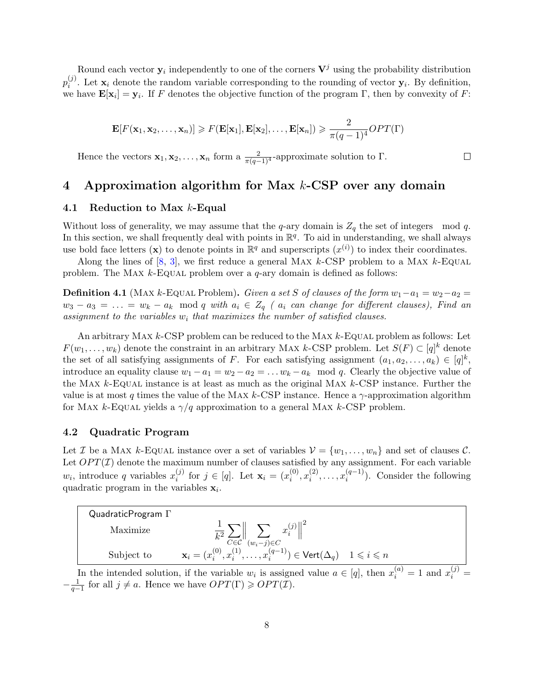<span id="page-7-1"></span>Round each vector  $y_i$  independently to one of the corners  $V^j$  using the probability distribution  $p_i^{(j)}$ <sup>(j)</sup>. Let  $\mathbf{x}_i$  denote the random variable corresponding to the rounding of vector  $\mathbf{y}_i$ . By definition, we have  $\mathbf{E}[\mathbf{x}_i] = \mathbf{y}_i$ . If F denotes the objective function of the program  $\Gamma$ , then by convexity of F:

$$
\mathbf{E}[F(\mathbf{x}_1, \mathbf{x}_2, \dots, \mathbf{x}_n)] \geq F(\mathbf{E}[\mathbf{x}_1], \mathbf{E}[\mathbf{x}_2], \dots, \mathbf{E}[\mathbf{x}_n]) \geq \frac{2}{\pi(q-1)^4} OPT(\Gamma)
$$

 $\Box$ 

Hence the vectors  $\mathbf{x}_1, \mathbf{x}_2, \ldots, \mathbf{x}_n$  form a  $\frac{2}{\pi(q-1)^4}$ -approximate solution to  $\Gamma$ .

## <span id="page-7-0"></span>4 Approximation algorithm for Max k-CSP over any domain

#### 4.1 Reduction to Max k-Equal

Without loss of generality, we may assume that the q-ary domain is  $Z_q$  the set of integers mod q. In this section, we shall frequently deal with points in  $\mathbb{R}^q$ . To aid in understanding, we shall always use bold face letters (x) to denote points in  $\mathbb{R}^q$  and superscripts  $(x^{(i)})$  to index their coordinates.

Along the lines of  $[8, 3]$  $[8, 3]$ , we first reduce a general MAX  $k$ -CSP problem to a MAX  $k$ -Equal problem. The MAX  $k$ -Equal problem over a  $q$ -ary domain is defined as follows:

**Definition 4.1** (MAX k-EQUAL Problem). Given a set S of clauses of the form  $w_1 - a_1 = w_2 - a_2 =$  $w_3 - a_3 = \ldots = w_k - a_k \mod q$  with  $a_i \in Z_q$  (  $a_i$  can change for different clauses), Find an assignment to the variables  $w_i$  that maximizes the number of satisfied clauses.

An arbitrary MAX  $k$ -CSP problem can be reduced to the MAX  $k$ -Equal problem as follows: Let  $F(w_1, \ldots, w_k)$  denote the constraint in an arbitrary MAX k-CSP problem. Let  $S(F) \subset [q]^k$  denote the set of all satisfying assignments of F. For each satisfying assignment  $(a_1, a_2, \ldots, a_k) \in [q]^k$ , introduce an equality clause  $w_1 - a_1 = w_2 - a_2 = \dots w_k - a_k \mod q$ . Clearly the objective value of the Max  $k$ -Equal instance is at least as much as the original Max  $k$ -CSP instance. Further the value is at most q times the value of the MAX k-CSP instance. Hence a  $\gamma$ -approximation algorithm for MAX k-EQUAL yields a  $\gamma/q$  approximation to a general MAX k-CSP problem.

#### 4.2 Quadratic Program

Let *I* be a MAX k-EQUAL instance over a set of variables  $V = \{w_1, \ldots, w_n\}$  and set of clauses *C*. Let  $OPT(\mathcal{I})$  denote the maximum number of clauses satisfied by any assignment. For each variable  $w_i$ , introduce q variables  $x_i^{(j)}$  $i_j^{(j)}$  for  $j \in [q]$ . Let  $\mathbf{x}_i = (x_i^{(0)})$  $\binom{0}{i}, x_i^{(2)}$  $x_i^{(2)}, \ldots, x_i^{(q-1)}$  $i^{(q-1)}$ ). Consider the following quadratic program in the variables  $x_i$ .



In the intended solution, if the variable  $w_i$  is assigned value  $a \in [q]$ , then  $x_i^{(a)} = 1$  and  $x_i^{(j)} = 1$  $-\frac{1}{q-1}$  for all  $j \neq a$ . Hence we have  $OPT(\Gamma) \geqslant OPT(\mathcal{I})$ .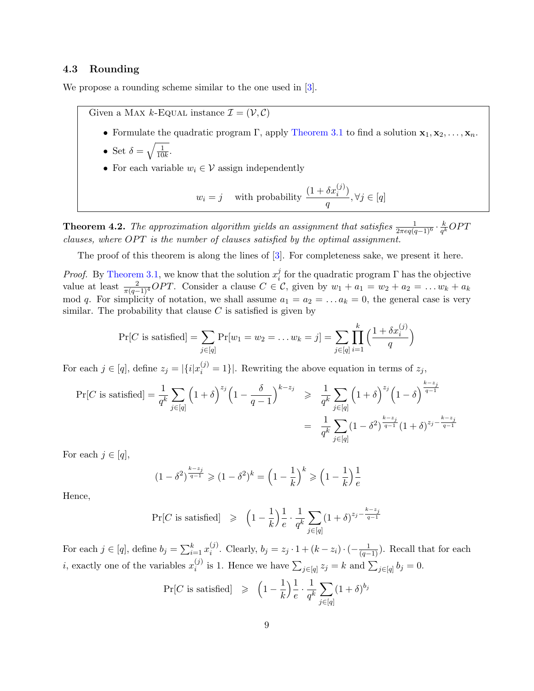### <span id="page-8-0"></span>4.3 Rounding

We propose a rounding scheme similar to the one used in  $[3]$ .

Given a MAX *k*-Equal instance  $\mathcal{I} = (\mathcal{V}, \mathcal{C})$ 

- Formulate the quadratic program Γ, apply [Theorem 3.1](#page-5-1) to find a solution  $x_1, x_2, \ldots, x_n$ .
- Set  $\delta = \sqrt{\frac{1}{10}}$  $\frac{1}{10k}$ .
- For each variable  $w_i \in \mathcal{V}$  assign independently

$$
w_i = j
$$
 with probability  $\frac{(1 + \delta x_i^{(j)})}{q}$ ,  $\forall j \in [q]$ 

**Theorem 4.2.** The approximation algorithm yields an assignment that satisfies  $\frac{1}{2\pi eq(q-1)^6} \cdot \frac{k}{q^k}$  $\frac{k}{q^k}OPT$ clauses, where  $OPT$  is the number of clauses satisfied by the optimal assignment.

The proof of this theorem is along the lines of [\[3\]](#page-17-1). For completeness sake, we present it here.

*Proof.* By [Theorem 3.1,](#page-5-1) we know that the solution  $x_i^j$ <sup>*j*</sup> for the quadratic program  $\Gamma$  has the objective value at least  $\frac{2}{\pi(q-1)^4}OPT$ . Consider a clause  $C \in \mathcal{C}$ , given by  $w_1 + a_1 = w_2 + a_2 = \ldots w_k + a_k$ mod q. For simplicity of notation, we shall assume  $a_1 = a_2 = \ldots a_k = 0$ , the general case is very similar. The probability that clause  $C$  is satisfied is given by

$$
\Pr[C \text{ is satisfied}] = \sum_{j \in [q]} \Pr[w_1 = w_2 = \dots = w_k = j] = \sum_{j \in [q]} \prod_{i=1}^k \left( \frac{1 + \delta x_i^{(j)}}{q} \right)
$$

For each  $j \in [q]$ , define  $z_j = |\{i|x_i^{(j)} = 1\}|$ . Rewriting the above equation in terms of  $z_j$ ,

$$
\Pr[C \text{ is satisfied}] = \frac{1}{q^k} \sum_{j \in [q]} \left(1 + \delta\right)^{z_j} \left(1 - \frac{\delta}{q - 1}\right)^{k - z_j} \geq \frac{1}{q^k} \sum_{j \in [q]} \left(1 + \delta\right)^{z_j} \left(1 - \delta\right)^{\frac{k - z_j}{q - 1}}
$$

$$
= \frac{1}{q^k} \sum_{j \in [q]} \left(1 - \delta^2\right)^{\frac{k - z_j}{q - 1}} \left(1 + \delta\right)^{z_j - \frac{k - z_j}{q - 1}}
$$

For each  $j \in [q],$ 

$$
(1 - \delta^2)^{\frac{k - z_j}{q - 1}} \geq (1 - \delta^2)^k = \left(1 - \frac{1}{k}\right)^k \geq \left(1 - \frac{1}{k}\right)\frac{1}{e}
$$

Hence,

$$
\Pr[C \text{ is satisfied}] \geqslant \left(1 - \frac{1}{k}\right) \frac{1}{e} \cdot \frac{1}{q^k} \sum_{j \in [q]} (1 + \delta)^{z_j - \frac{k - z_j}{q - 1}}
$$

For each  $j \in [q]$ , define  $b_j = \sum_{i=1}^k x_i^{(j)}$ <sup>(j)</sup>. Clearly,  $b_j = z_j \cdot 1 + (k - z_i) \cdot (-\frac{1}{(q-1)})$ . Recall that for each *i*, exactly one of the variables  $x_i^{(j)}$ <sup>(j)</sup> is 1. Hence we have  $\sum_{j\in[q]}z_j=k$  and  $\sum_{j\in[q]}b_j=0$ .

$$
\Pr[C \text{ is satisfied}] \geqslant \left(1 - \frac{1}{k}\right) \frac{1}{e} \cdot \frac{1}{q^k} \sum_{j \in [q]} (1 + \delta)^{b_j}
$$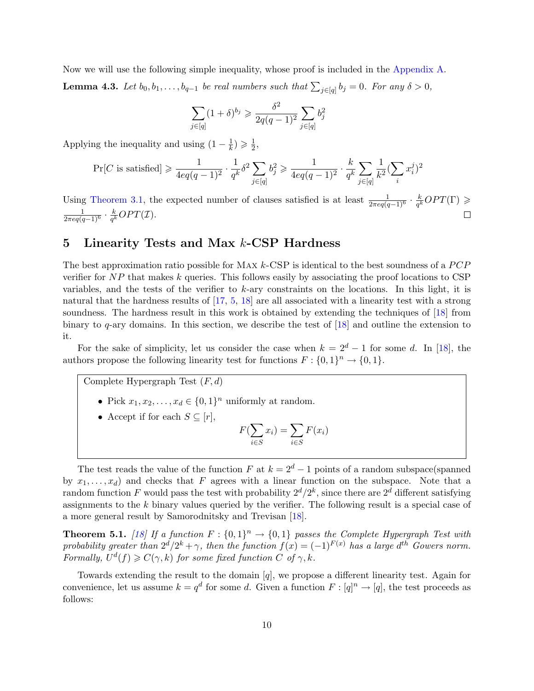<span id="page-9-2"></span><span id="page-9-1"></span>Now we will use the following simple inequality, whose proof is included in the [Appendix A.](#page-19-0) **Lemma 4.3.** Let  $b_0, b_1, \ldots, b_{q-1}$  be real numbers such that  $\sum_{j \in [q]} b_j = 0$ . For any  $\delta > 0$ ,

$$
\sum_{j \in [q]} (1+\delta)^{b_j} \geq \frac{\delta^2}{2q(q-1)^2} \sum_{j \in [q]} b_j^2
$$

Applying the inequality and using  $(1 - \frac{1}{k})$  $(\frac{1}{k}) \geqslant \frac{1}{2}$  $\frac{1}{2}$ 

$$
\Pr[C \text{ is satisfied}] \geqslant \frac{1}{4eq(q-1)^2} \cdot \frac{1}{q^k} \delta^2 \sum_{j \in [q]} b_j^2 \geqslant \frac{1}{4eq(q-1)^2} \cdot \frac{k}{q^k} \sum_{j \in [q]} \frac{1}{k^2} (\sum_i x_i^j)^2
$$

Using [Theorem 3.1,](#page-5-1) the expected number of clauses satisfied is at least  $\frac{1}{2\pi eq(q-1)^6} \cdot \frac{k}{q^k}$  $\frac{k}{q^k}OPT(\Gamma) \geqslant$  $\frac{1}{2\pi eq(q-1)^6}\cdot\frac{k}{q^k}$  $\frac{k}{q^k}OPT(\mathcal{I}).$ 

## <span id="page-9-0"></span>5 Linearity Tests and Max k-CSP Hardness

The best approximation ratio possible for MAX  $k$ -CSP is identical to the best soundness of a  $PCP$ verifier for  $NP$  that makes  $k$  queries. This follows easily by associating the proof locations to CSP variables, and the tests of the verifier to k-ary constraints on the locations. In this light, it is natural that the hardness results of [\[17,](#page-18-6) [5,](#page-17-2) [18\]](#page-18-0) are all associated with a linearity test with a strong soundness. The hardness result in this work is obtained by extending the techniques of [\[18\]](#page-18-0) from binary to q-ary domains. In this section, we describe the test of [\[18\]](#page-18-0) and outline the extension to it.

For the sake of simplicity, let us consider the case when  $k = 2<sup>d</sup> - 1$  for some d. In [\[18\]](#page-18-0), the authors propose the following linearity test for functions  $F: \{0,1\}^n \to \{0,1\}.$ 

Complete Hypergraph Test  $(F, d)$ 

- Pick  $x_1, x_2, \ldots, x_d \in \{0, 1\}^n$  uniformly at random.
- Accept if for each  $S \subseteq [r]$ ,

$$
F(\sum_{i \in S} x_i) = \sum_{i \in S} F(x_i)
$$

The test reads the value of the function F at  $k = 2<sup>d</sup> - 1$  points of a random subspace(spanned by  $x_1, \ldots, x_d$  and checks that F agrees with a linear function on the subspace. Note that a random function F would pass the test with probability  $2^d/2^k$ , since there are  $2^d$  different satisfying assignments to the k binary values queried by the verifier. The following result is a special case of a more general result by Samorodnitsky and Trevisan [\[18\]](#page-18-0).

**Theorem 5.1.** [\[18\]](#page-18-0) If a function  $F: \{0,1\}^n \to \{0,1\}$  passes the Complete Hypergraph Test with probability greater than  $2^d/2^k + \gamma$ , then the function  $f(x) = (-1)^{F(x)}$  has a large  $d^{th}$  Gowers norm. Formally,  $U^d(f) \geqslant C(\gamma, k)$  for some fixed function C of  $\gamma, k$ .

Towards extending the result to the domain [q], we propose a different linearity test. Again for convenience, let us assume  $k = q^d$  for some d. Given a function  $F : [q]^n \to [q]$ , the test proceeds as follows: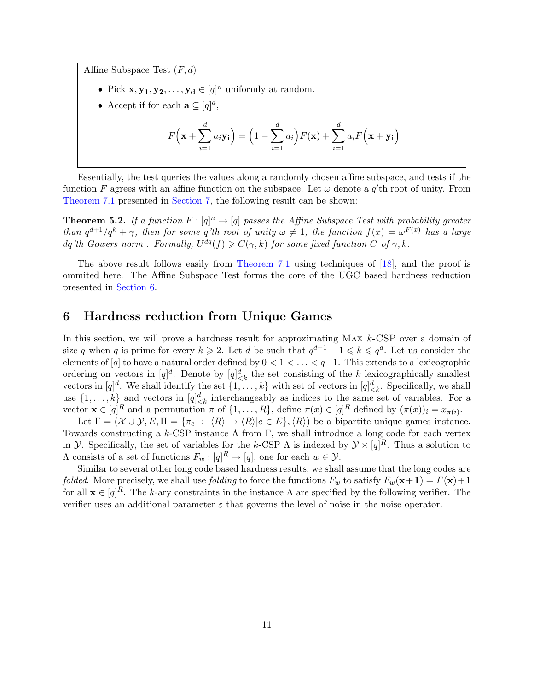<span id="page-10-1"></span>Affine Subspace Test  $(F, d)$ 

- Pick  $\mathbf{x}, \mathbf{y_1}, \mathbf{y_2}, \dots, \mathbf{y_d} \in [q]^n$  uniformly at random.
- Accept if for each  $\mathbf{a} \subseteq [q]^d$ ,

$$
F\left(\mathbf{x} + \sum_{i=1}^{d} a_i \mathbf{y_i}\right) = \left(1 - \sum_{i=1}^{d} a_i\right) F(\mathbf{x}) + \sum_{i=1}^{d} a_i F\left(\mathbf{x} + \mathbf{y_i}\right)
$$

Essentially, the test queries the values along a randomly chosen affine subspace, and tests if the function F agrees with an affine function on the subspace. Let  $\omega$  denote a  $q'$ th root of unity. From [Theorem 7.1](#page-14-1) presented in [Section 7,](#page-14-0) the following result can be shown:

**Theorem 5.2.** If a function  $F : [q]^n \to [q]$  passes the Affine Subspace Test with probability greater than  $q^{d+1}/q^k + \gamma$ , then for some q'th root of unity  $\omega \neq 1$ , the function  $f(x) = \omega^{F(x)}$  has a large dq'th Gowers norm. Formally,  $U^{dq}(f) \geqslant C(\gamma, k)$  for some fixed function C of  $\gamma, k$ .

The above result follows easily from [Theorem 7.1](#page-14-1) using techniques of [\[18\]](#page-18-0), and the proof is ommited here. The Affine Subspace Test forms the core of the UGC based hardness reduction presented in [Section 6.](#page-10-0)

### <span id="page-10-0"></span>6 Hardness reduction from Unique Games

In this section, we will prove a hardness result for approximating MAX k-CSP over a domain of size q when q is prime for every  $k \geqslant 2$ . Let d be such that  $q^{d-1} + 1 \leqslant k \leqslant q^d$ . Let us consider the elements of  $[q]$  to have a natural order defined by  $0 < 1 < \ldots < q-1$ . This extends to a lexicographic ordering on vectors in  $[q]^d$ . Denote by  $[q]^d_{\leq k}$  the set consisting of the k lexicographically smallest vectors in  $[q]^d$ . We shall identify the set  $\{1, \ldots, k\}$  with set of vectors in  $[q]_{\leq k}^d$ . Specifically, we shall use  $\{1,\ldots,k\}$  and vectors in  $[q]^d_{\leq k}$  interchangeably as indices to the same set of variables. For a vector  $\mathbf{x} \in [q]^R$  and a permutation  $\pi$  of  $\{1, \ldots, R\}$ , define  $\pi(x) \in [q]^R$  defined by  $(\pi(x))_i = x_{\pi(i)}$ .

Let  $\Gamma = (\mathcal{X} \cup \mathcal{Y}, E, \Pi = {\pi_e : \langle R \rangle \rightarrow \langle R \rangle | e \in E}, \langle R \rangle)$  be a bipartite unique games instance. Towards constructing a  $k$ -CSP instance  $\Lambda$  from  $\Gamma$ , we shall introduce a long code for each vertex in *Y*. Specifically, the set of variables for the k-CSP  $\Lambda$  is indexed by  $\mathcal{Y} \times [q]^R$ . Thus a solution to  $\Lambda$  consists of a set of functions  $F_w : [q]^R \to [q]$ , one for each  $w \in \mathcal{Y}$ .

Similar to several other long code based hardness results, we shall assume that the long codes are folded. More precisely, we shall use folding to force the functions  $F_w$  to satisfy  $F_w(\mathbf{x+1}) = F(\mathbf{x})+1$ for all  $\mathbf{x} \in [q]^R$ . The k-ary constraints in the instance  $\Lambda$  are specified by the following verifier. The verifier uses an additional parameter  $\varepsilon$  that governs the level of noise in the noise operator.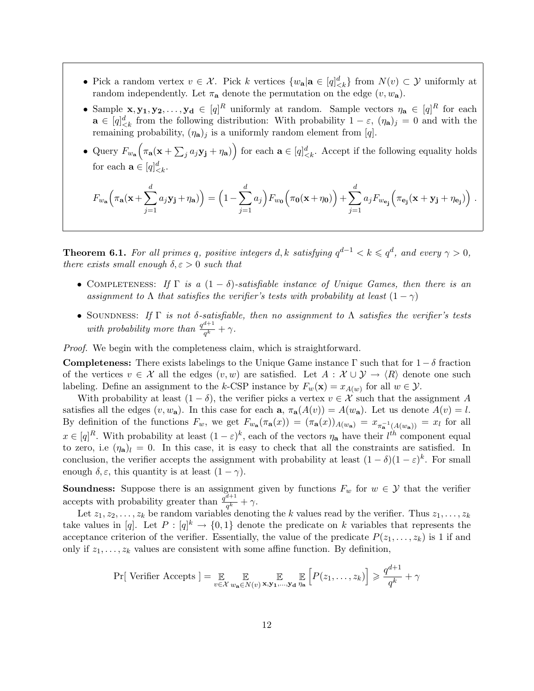- Pick a random vertex  $v \in \mathcal{X}$ . Pick k vertices  $\{w_{\mathbf{a}} | \mathbf{a} \in [q]_{\leq k}^d\}$  from  $N(v) \subset \mathcal{Y}$  uniformly at random independently. Let  $\pi_a$  denote the permutation on the edge  $(v, w_a)$ .
- Sample  $x, y_1, y_2, \ldots, y_d \in [q]^R$  uniformly at random. Sample vectors  $\eta_a \in [q]^R$  for each  $\mathbf{a} \in [q]_{\leq k}^d$  from the following distribution: With probability  $1 - \varepsilon$ ,  $(\eta_{\mathbf{a}})_j = 0$  and with the remaining probability,  $(\eta_{\mathbf{a}})_j$  is a uniformly random element from [q].
- Query  $F_{w_{\mathbf{a}}}(\pi_{\mathbf{a}}(\mathbf{x} + \sum_j a_j \mathbf{y_j} + \eta_{\mathbf{a}}))$  for each  $\mathbf{a} \in [q]_{\leq k}^d$ . Accept if the following equality holds for each  $\mathbf{a} \in [q]_{\leq k}^d$ .

$$
F_{w_{\mathbf{a}}}(\pi_{\mathbf{a}}(\mathbf{x}+\sum_{j=1}^{d}a_j\mathbf{y_j}+\eta_{\mathbf{a}})) = \left(1-\sum_{j=1}^{d}a_j\right)F_{w_{\mathbf{0}}}(\pi_{\mathbf{0}}(\mathbf{x}+\eta_{\mathbf{0}})) + \sum_{j=1}^{d}a_jF_{w_{\mathbf{e}_j}}(\pi_{\mathbf{e}_j}(\mathbf{x}+\mathbf{y_j}+\eta_{\mathbf{e}_j}))\ .
$$

<span id="page-11-0"></span>**Theorem 6.1.** For all primes q, positive integers d, k satisfying  $q^{d-1} < k \leqslant q^d$ , and every  $\gamma > 0$ , there exists small enough  $\delta, \varepsilon > 0$  such that

- COMPLETENESS: If  $\Gamma$  is a  $(1 \delta)$ -satisfiable instance of Unique Games, then there is an assignment to  $\Lambda$  that satisfies the verifier's tests with probability at least  $(1 - \gamma)$
- SOUNDNESS: If  $\Gamma$  is not δ-satisfiable, then no assignment to  $\Lambda$  satisfies the verifier's tests with probability more than  $\frac{q^{d+1}}{q^k}$  $\frac{a+1}{q^k} + \gamma.$

Proof. We begin with the completeness claim, which is straightforward.

**Completeness:** There exists labelings to the Unique Game instance  $\Gamma$  such that for  $1 - \delta$  fraction of the vertices  $v \in \mathcal{X}$  all the edges  $(v, w)$  are satisfied. Let  $A : \mathcal{X} \cup \mathcal{Y} \to \langle R \rangle$  denote one such labeling. Define an assignment to the k-CSP instance by  $F_w(\mathbf{x}) = x_{A(w)}$  for all  $w \in \mathcal{Y}$ .

With probability at least  $(1 - \delta)$ , the verifier picks a vertex  $v \in \mathcal{X}$  such that the assignment A satisfies all the edges  $(v, w_a)$ . In this case for each  $a, \pi_a(A(v)) = A(w_a)$ . Let us denote  $A(v) = l$ . By definition of the functions  $F_w$ , we get  $F_{w_a}(\pi_a(x)) = (\pi_a(x))_{A(w_a)} = x_{\pi_a^{-1}(A(w_a))} = x_l$  for all  $x \in [q]^R$ . With probability at least  $(1 - \varepsilon)^k$ , each of the vectors  $\eta_a$  have their  $l^{th}$  component equal to zero, i.e  $(\eta_a)_l = 0$ . In this case, it is easy to check that all the constraints are satisfied. In conclusion, the verifier accepts the assignment with probability at least  $(1 - \delta)(1 - \varepsilon)^k$ . For small enough  $\delta, \varepsilon$ , this quantity is at least  $(1 - \gamma)$ .

**Soundness:** Suppose there is an assignment given by functions  $F_w$  for  $w \in \mathcal{Y}$  that the verifier accepts with probability greater than  $\frac{q^{d+1}}{q^k}$  $\frac{a+1}{q^k} + \gamma.$ 

Let  $z_1, z_2, \ldots, z_k$  be random variables denoting the k values read by the verifier. Thus  $z_1, \ldots, z_k$ take values in [q]. Let  $P: [q]^k \to \{0,1\}$  denote the predicate on k variables that represents the acceptance criterion of the verifier. Essentially, the value of the predicate  $P(z_1, \ldots, z_k)$  is 1 if and only if  $z_1, \ldots, z_k$  values are consistent with some affine function. By definition,

$$
\Pr[\text{Verifier Access}] = \mathop{\mathbb{E}}_{v \in \mathcal{X}} \mathop{\mathbb{E}}_{w_{\mathbf{a}} \in N(v)} \mathop{\mathbb{E}}_{\mathbf{x}, \mathbf{y}_1, \dots, \mathbf{y}_d} \mathop{\mathbb{E}}_{\eta_{\mathbf{a}}} \left[ P(z_1, \dots, z_k) \right] \geqslant \frac{q^{d+1}}{q^k} + \gamma
$$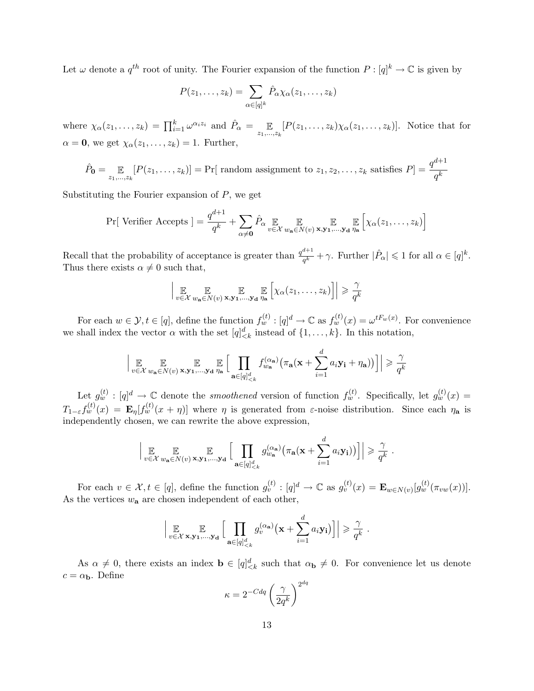Let  $\omega$  denote a  $q^{th}$  root of unity. The Fourier expansion of the function  $P: [q]^k \to \mathbb{C}$  is given by

$$
P(z_1,\ldots,z_k)=\sum_{\alpha\in[q]^k}\hat{P}_{\alpha}\chi_{\alpha}(z_1,\ldots,z_k)
$$

where  $\chi_{\alpha}(z_1,\ldots,z_k) = \prod_{i=1}^k \omega^{\alpha_i z_i}$  and  $\hat{P}_{\alpha} = \mathbb{E}_{z_1,\ldots,z_k}[P(z_1,\ldots,z_k)\chi_{\alpha}(z_1,\ldots,z_k)].$  Notice that for  $\alpha = 0$ , we get  $\chi_{\alpha}(z_1, \ldots, z_k) = 1$ . Further,

$$
\hat{P}_{\mathbf{0}} = \mathop{\mathbb{E}}_{z_1, \dots, z_k} [P(z_1, \dots, z_k)] = \Pr[\text{ random assignment to } z_1, z_2, \dots, z_k \text{ satisfies } P] = \frac{q^{d+1}}{q^k}
$$

Substituting the Fourier expansion of  $P$ , we get

$$
\Pr[\text{Verifier Access}] = \frac{q^{d+1}}{q^k} + \sum_{\alpha \neq \mathbf{0}} \hat{P}_{\alpha} \underset{v \in \mathcal{X}}{\mathbb{E}} \underset{w_{\mathbf{a}} \in N(v)}{\mathbb{E}} \underset{\mathbf{x}, \mathbf{y}_1, \dots, \mathbf{y}_d}{\mathbb{E}} \left[ \chi_{\alpha}(z_1, \dots, z_k) \right]
$$

Recall that the probability of acceptance is greater than  $\frac{q^{d+1}}{d}$  $\frac{d+1}{q^k} + \gamma$ . Further  $|\hat{P}_{\alpha}| \leqslant 1$  for all  $\alpha \in [q]^k$ . Thus there exists  $\alpha \neq 0$  such that,

$$
\left| \underset{v \in \mathcal{X}}{\mathbb{E}} \underset{w_{\mathbf{a}} \in N(v)}{\mathbb{E}} \underset{\mathbf{x}, \mathbf{y}_1, \dots, \mathbf{y}_d}{\mathbb{E}} \underset{\eta_{\mathbf{a}}}{\mathbb{E}} \left[ \chi_{\alpha}(z_1, \dots, z_k) \right] \right| \geqslant \frac{\gamma}{q^k}
$$

For each  $w \in \mathcal{Y}, t \in [q]$ , define the function  $f_w^{(t)} : [q]^d \to \mathbb{C}$  as  $f_w^{(t)}(x) = \omega^{tF_w(x)}$ . For convenience we shall index the vector  $\alpha$  with the set  $[q]_{\leq k}^d$  instead of  $\{1, \ldots, k\}$ . In this notation,

$$
\Big| \mathop{\mathbb{E}}_{v \in \mathcal{X}} \mathop{\mathbb{E}}_{w_{\mathbf{a}} \in N(v)} \mathop{\mathbb{E}}_{\mathbf{x}, \mathbf{y}_1, \dots, \mathbf{y}_d} \mathop{\mathbb{E}}_{\eta_{\mathbf{a}}} \Big[ \prod_{\mathbf{a} \in [q]_{\leq k}^d} f_{w_{\mathbf{a}}}^{(\alpha_{\mathbf{a}})} \big( \pi_{\mathbf{a}}(\mathbf{x} + \sum_{i=1}^d a_i \mathbf{y}_i + \eta_{\mathbf{a}}) \big) \Big] \Big| \geq \frac{\gamma}{q^k}
$$

Let  $g_w^{(t)} : [q]^d \to \mathbb{C}$  denote the *smoothened* version of function  $f_w^{(t)}$ . Specifically, let  $g_w^{(t)}(x) =$  $T_{1-\varepsilon}f_w^{(t)}(x) = \mathbf{E}_{\eta}[f_w^{(t)}(x+\eta)]$  where  $\eta$  is generated from  $\varepsilon$ -noise distribution. Since each  $\eta_a$  is independently chosen, we can rewrite the above expression,

$$
\left| \mathop{\mathbb{E}}_{v \in \mathcal{X}} \mathop{\mathbb{E}}_{w_{\mathbf{a}} \in N(v)} \mathop{\mathbb{E}}_{\mathbf{x}, \mathbf{y_1}, \dots, \mathbf{y_d}} \left[ \prod_{\mathbf{a} \in [q]_{\leq k}^d} g_{w_{\mathbf{a}}}^{(\alpha_{\mathbf{a}})} \big( \pi_{\mathbf{a}}(\mathbf{x} + \sum_{i=1}^d a_i \mathbf{y_i}) \big) \right] \right| \geq \frac{\gamma}{q^k}.
$$

For each  $v \in \mathcal{X}, t \in [q]$ , define the function  $g_v^{(t)} : [q]^d \to \mathbb{C}$  as  $g_v^{(t)}(x) = \mathbf{E}_{w \in N(v)}[g_w^{(t)}(\pi_{vw}(x))].$ As the vertices  $w_a$  are chosen independent of each other,

$$
\Big|\mathop{\mathbb{E}}_{v \in \mathcal{X}} \mathop{\mathbb{E}}_{\mathbf{x}, \mathbf{y}_1, \dots, \mathbf{y}_d} \Big[\prod_{\mathbf{a} \in [q]_{< k}^d} g_v^{(\alpha_{\mathbf{a}})}(\mathbf{x} + \sum_{i=1}^d a_i \mathbf{y}_i)\Big]\Big| \geqslant \frac{\gamma}{q^k}.
$$

As  $\alpha \neq 0$ , there exists an index  $\mathbf{b} \in [q]_{\leq k}^d$  such that  $\alpha_{\mathbf{b}} \neq 0$ . For convenience let us denote  $c = \alpha_{\mathbf{b}}$ . Define  $\overline{dq}$ 

$$
\kappa = 2^{-Cdq} \left(\frac{\gamma}{2q^k}\right)^{2^d}
$$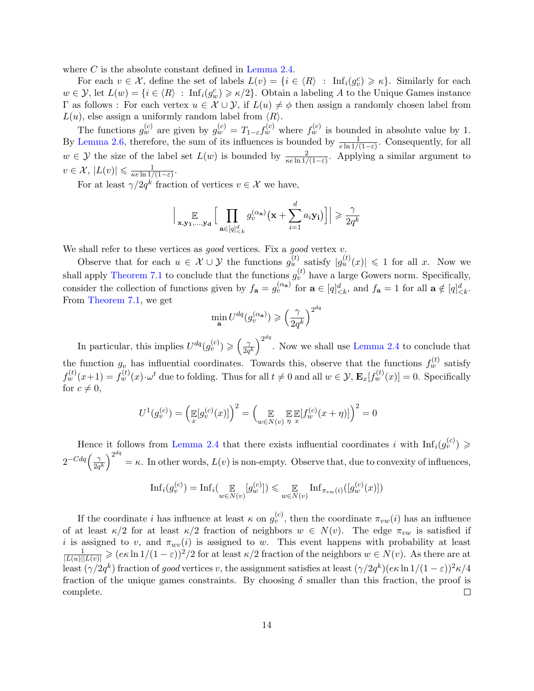where  $C$  is the absolute constant defined in [Lemma 2.4.](#page-4-0)

For each  $v \in \mathcal{X}$ , define the set of labels  $L(v) = \{i \in \langle R \rangle : \text{Inf}_i(g_v^c) \geq \kappa\}$ . Similarly for each  $w \in \mathcal{Y}$ , let  $L(w) = \{i \in \langle R \rangle : \text{Inf}_i(g_w^c) \geqslant \kappa/2\}$ . Obtain a labeling A to the Unique Games instance Γ as follows : For each vertex  $u \in \mathcal{X} \cup \mathcal{Y}$ , if  $L(u) \neq \emptyset$  then assign a randomly chosen label from  $L(u)$ , else assign a uniformly random label from  $\langle R \rangle$ .

The functions  $g_w^{(c)}$  are given by  $g_w^{(c)} = T_{1-\varepsilon} f_w^{(c)}$  where  $f_w^{(c)}$  is bounded in absolute value by 1. By [Lemma 2.6,](#page-5-2) therefore, the sum of its influences is bounded by  $\frac{1}{e \ln 1/(1-\varepsilon)}$ . Consequently, for all  $w \in \mathcal{Y}$  the size of the label set  $L(w)$  is bounded by  $\frac{2}{\kappa e \ln 1/(1-\varepsilon)}$ . Applying a similar argument to  $v \in \mathcal{X}, |L(v)| \leqslant \frac{1}{\kappa e \ln 1/\kappa}$  $\frac{1}{\kappa e \ln 1/(1-\varepsilon)}$ .

For at least  $\gamma/2q^k$  fraction of vertices  $v \in \mathcal{X}$  we have,

$$
\Big|\mathop{\mathbb{E}}_{\mathbf{x},\mathbf{y_1},\dots,\mathbf{y_d}}\Big[\prod_{\mathbf{a}\in[q]_{< k}^d} g_v^{(\alpha_\mathbf{a})}(\mathbf{x}+\sum_{i=1}^d a_i \mathbf{y_i})\Big]\Big| \geqslant \frac{\gamma}{2q^k}
$$

We shall refer to these vertices as good vertices. Fix a good vertex  $v$ .

Observe that for each  $u \in \mathcal{X} \cup \mathcal{Y}$  the functions  $g_u^{(t)}$  satisfy  $|g_u^{(t)}(x)| \leq 1$  for all x. Now we shall apply [Theorem 7.1](#page-14-1) to conclude that the functions  $g_v^{(t)}$  have a large Gowers norm. Specifically, consider the collection of functions given by  $f_{\mathbf{a}} = g_v^{(\alpha_{\mathbf{a}})}$  for  $\mathbf{a} \in [q]_{\leq k}^d$ , and  $f_{\mathbf{a}} = 1$  for all  $\mathbf{a} \notin [q]_{\leq k}^d$ . From [Theorem 7.1,](#page-14-1) we get dq

$$
\min_{\mathbf{a}} U^{dq}(g_v^{(\alpha_{\mathbf{a}})}) \geqslant \left(\frac{\gamma}{2q^k}\right)^{2^{\alpha}}
$$

In particular, this implies  $U^{dq}(g^{(c)}_v) \geqslant \left(\frac{\gamma}{2a}\right)$  $\frac{\gamma}{2q^k}\Big)^{2^{dq}}$ . Now we shall use [Lemma 2.4](#page-4-0) to conclude that the function  $g_v$  has influential coordinates. Towards this, observe that the functions  $f_w^{(t)}$  satisfy  $f_w^{(t)}(x+1) = f_w^{(t)}(x) \cdot \omega^t$  due to folding. Thus for all  $t \neq 0$  and all  $w \in \mathcal{Y}$ ,  $\mathbf{E}_x[f_w^{(t)}(x)] = 0$ . Specifically for  $c \neq 0$ ,

$$
U^{1}(g_{v}^{(c)}) = (\mathbb{E}[g_{v}^{(c)}(x)])^{2} = (\mathbb{E}[f_{w}^{(c)}(x+\eta)]^{2})^{2} = 0
$$

Hence it follows from [Lemma 2.4](#page-4-0) that there exists influential coordinates i with  $\text{Inf}_i(g_v^{(c)}) \geq$  $2^{-Cdq} \left(\frac{\gamma}{2a}\right)$  $\frac{\gamma}{2q^k}\Big)^{2^{dq}}$  $= \kappa$ . In other words,  $L(v)$  is non-empty. Observe that, due to convexity of influences,

$$
\mathrm{Inf}_i(g_v^{(c)}) = \mathrm{Inf}_i\left(\mathop{\mathbb{E}}_{w \in N(v)}[g_w^{(c)}]\right) \leq \mathop{\mathbb{E}}_{w \in N(v)} \mathrm{Inf}_{\pi_{vw}(i)}([g_w^{(c)}(x)])
$$

If the coordinate i has influence at least  $\kappa$  on  $g_{v}^{(c)}$ , then the coordinate  $\pi_{vw}(i)$  has an influence of at least  $\kappa/2$  for at least  $\kappa/2$  fraction of neighbors  $w \in N(v)$ . The edge  $\pi_{vw}$  is satisfied if *i* is assigned to *v*, and  $\pi_{wv}(i)$  is assigned to *w*. This event happens with probability at least  $\frac{1}{|L(u)||L(v)|} \geqslant (e\kappa \ln 1/(1-\varepsilon))^2/2$  for at least  $\kappa/2$  fraction of the neighbors  $w \in N(v)$ . As there are at least  $(\gamma/2q^k)$  fraction of good vertices v, the assignment satisfies at least  $(\gamma/2q^k)(e\kappa \ln 1/(1-\varepsilon))^2\kappa/4$ fraction of the unique games constraints. By choosing  $\delta$  smaller than this fraction, the proof is complete. П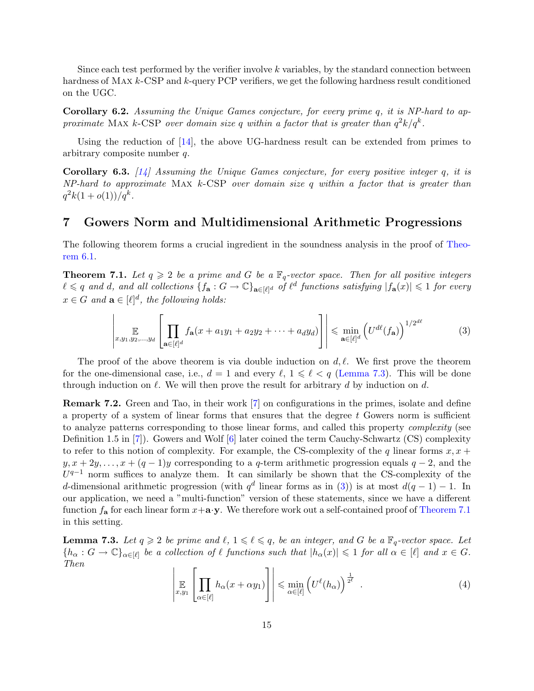<span id="page-14-5"></span>Since each test performed by the verifier involve  $k$  variables, by the standard connection between hardness of MAX k-CSP and k-query PCP verifiers, we get the following hardness result conditioned on the UGC.

Corollary 6.2. Assuming the Unique Games conjecture, for every prime q, it is NP-hard to approximate MAX k-CSP over domain size q within a factor that is greater than  $q^2k/q^k$ .

Using the reduction of [\[14\]](#page-18-1), the above UG-hardness result can be extended from primes to arbitrary composite number q.

**Corollary 6.3.** [\[14\]](#page-18-1) Assuming the Unique Games conjecture, for every positive integer q, it is  $NP$ -hard to approximate MAX  $k$ -CSP over domain size  $q$  within a factor that is greater than  $q^2k(1+o(1))/q^k$ .

## <span id="page-14-0"></span>7 Gowers Norm and Multidimensional Arithmetic Progressions

The following theorem forms a crucial ingredient in the soundness analysis in the proof of [Theo](#page-11-0)[rem 6.1.](#page-11-0)

<span id="page-14-1"></span>**Theorem 7.1.** Let  $q \geq 2$  be a prime and G be a  $\mathbb{F}_q$ -vector space. Then for all positive integers  $\ell \leqslant q$  and d, and all collections  $\{f_{\mathbf{a}}: G \to \mathbb{C}\}_{\mathbf{a} \in [\ell]^d}$  of  $\ell^d$  functions satisfying  $|f_{\mathbf{a}}(x)| \leqslant 1$  for every  $x \in G$  and  $\mathbf{a} \in [\ell]^d$ , the following holds:

<span id="page-14-3"></span>
$$
\left| \mathop{\mathbb{E}}_{x,y_1,y_2,\ldots,y_d} \left[ \prod_{\mathbf{a}\in [\ell]^d} f_{\mathbf{a}}(x+a_1y_1+a_2y_2+\cdots+a_dy_d) \right] \right| \leq \min_{\mathbf{a}\in [\ell]^d} \left( U^{d\ell}(f_{\mathbf{a}}) \right)^{1/2^{d\ell}} \tag{3}
$$

The proof of the above theorem is via double induction on  $d, \ell$ . We first prove the theorem for the one-dimensional case, i.e.,  $d = 1$  and every  $\ell$ ,  $1 \leq \ell < q$  [\(Lemma 7.3\)](#page-14-2). This will be done through induction on  $\ell$ . We will then prove the result for arbitrary d by induction on d.

Remark 7.2. Green and Tao, in their work [\[7\]](#page-17-6) on configurations in the primes, isolate and define a property of a system of linear forms that ensures that the degree  $t$  Gowers norm is sufficient to analyze patterns corresponding to those linear forms, and called this property complexity (see Definition 1.5 in [\[7\]](#page-17-6)). Gowers and Wolf [\[6\]](#page-17-7) later coined the term Cauchy-Schwartz (CS) complexity to refer to this notion of complexity. For example, the CS-complexity of the q linear forms  $x, x +$  $y, x + 2y, \ldots, x + (q - 1)y$  corresponding to a q-term arithmetic progression equals  $q - 2$ , and the  $U^{q-1}$  norm suffices to analyze them. It can similarly be shown that the CS-complexity of the d-dimensional arithmetic progression (with  $q^d$  linear forms as in [\(3\)](#page-14-3)) is at most  $d(q-1)-1$ . In our application, we need a "multi-function" version of these statements, since we have a different function  $f_a$  for each linear form  $x+a\cdot y$ . We therefore work out a self-contained proof of [Theorem 7.1](#page-14-1) in this setting.

<span id="page-14-2"></span>**Lemma 7.3.** Let  $q \geq 2$  be prime and  $\ell, 1 \leq \ell \leq q$ , be an integer, and G be a  $\mathbb{F}_q$ -vector space. Let  ${h_{\alpha}: G \to \mathbb{C}}_{\alpha \in [\ell]}$  be a collection of  $\ell$  functions such that  $|h_{\alpha}(x)| \leq 1$  for all  $\alpha \in [\ell]$  and  $x \in G$ . Then

<span id="page-14-4"></span>
$$
\left| \mathop{\mathbb{E}}_{x,y_1} \left[ \prod_{\alpha \in [\ell]} h_{\alpha}(x + \alpha y_1) \right] \right| \leq \min_{\alpha \in [\ell]} \left( U^{\ell}(h_{\alpha}) \right)^{\frac{1}{2^{\ell}}} . \tag{4}
$$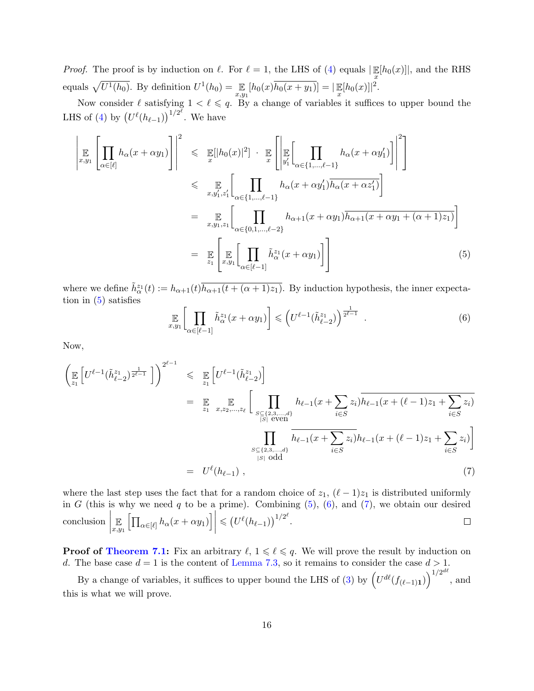*Proof.* The proof is by induction on  $\ell$ . For  $\ell = 1$ , the LHS of [\(4\)](#page-14-4) equals  $|\mathbb{E}[h_0(x)]|$ , and the RHS x equals  $\sqrt{U^1(h_0)}$ . By definition  $U^1(h_0) = \mathbb{E}_{x,y_1}[h_0(x)\overline{h_0(x + y_1)}] = |\mathbb{E}[h_0(x)]|^2$ .

Now consider  $\ell$  satisfying  $1 < \ell \leq q$ . By a change of variables it suffices to upper bound the LHS of [\(4\)](#page-14-4) by  $(U^{\ell}(h_{\ell-1}))^{1/2^{\ell}}$ . We have

<span id="page-15-0"></span>
$$
\left| \underset{x,y_1}{\mathbb{E}} \left[ \prod_{\alpha \in [\ell]} h_{\alpha}(x + \alpha y_1) \right] \right|^2 \leq \underset{x}{\mathbb{E}} \left[ |h_0(x)|^2 \right] \cdot \underset{x}{\mathbb{E}} \left[ \left| \underset{y_1'}{\mathbb{E}} \left[ \prod_{\alpha \in \{1, \dots, \ell-1\}} h_{\alpha}(x + \alpha y_1') \right] \right|^2 \right]
$$
\n
$$
\leq \underset{x,y_1,z_1'}{\mathbb{E}} \left[ \prod_{\alpha \in \{1, \dots, \ell-1\}} h_{\alpha}(x + \alpha y_1') \overline{h_{\alpha}(x + \alpha z_1')} \right]
$$
\n
$$
= \underset{x,y_1,z_1}{\mathbb{E}} \left[ \prod_{\alpha \in \{0,1, \dots, \ell-2\}} h_{\alpha+1}(x + \alpha y_1) \overline{h_{\alpha+1}(x + \alpha y_1 + (\alpha+1)z_1)} \right]
$$
\n
$$
= \underset{z_1}{\mathbb{E}} \left[ \underset{x,y_1}{\mathbb{E}} \left[ \prod_{\alpha \in [\ell-1]} \widetilde{h}_{\alpha}^{z_1}(x + \alpha y_1) \right] \right]
$$
\n(5)

where we define  $\tilde{h}^{z_1}_{\alpha}(t) := h_{\alpha+1}(t) \overline{h_{\alpha+1}(t + (\alpha+1)z_1)}$ . By induction hypothesis, the inner expectation in  $(5)$  satisfies

<span id="page-15-1"></span>
$$
\mathbb{E}_{x,y_1} \left[ \prod_{\alpha \in [\ell-1]} \tilde{h}_{\alpha}^{z_1}(x + \alpha y_1) \right] \leqslant \left( U^{\ell-1}(\tilde{h}_{\ell-2}^{z_1}) \right)^{\frac{1}{2^{\ell-1}}} \tag{6}
$$

Now,

<span id="page-15-2"></span>
$$
\left(\mathbb{E}\left[U^{\ell-1}(\tilde{h}_{\ell-2}^{z_1})^{\frac{1}{2^{\ell-1}}}\right]\right)^{2^{\ell-1}} \leq \mathbb{E}\left[U^{\ell-1}(\tilde{h}_{\ell-2}^{z_1})\right]
$$
\n
$$
= \mathbb{E}\left[\mathbb{E}\left[\prod_{\substack{S\subseteq\{2,3,\ldots,d\}\\|S|\text{ even}}}\frac{h_{\ell-1}(x+\sum_{i\in S}z_i)\overline{h_{\ell-1}(x+(\ell-1)z_1}+\sum_{i\in S}z_i)}{h_{\ell-1}(x+\sum_{i\in S}z_i)h_{\ell-1}(x+(\ell-1)z_1}+\sum_{i\in S}z_i)}\right]
$$
\n
$$
\prod_{\substack{S\subseteq\{2,3,\ldots,d\}\\|S|\text{ odd}}} \frac{h_{\ell-1}(x+\sum_{i\in S}z_i)h_{\ell-1}(x+(\ell-1)z_1+\sum_{i\in S}z_i)}{h_{\ell-1}(x+(\ell-1)z_1+\sum_{i\in S}z_i)}\right]
$$
\n(7)

where the last step uses the fact that for a random choice of  $z_1$ ,  $(\ell - 1)z_1$  is distributed uniformly in G (this is why we need q to be a prime). Combining  $(5)$ ,  $(6)$ , and  $(7)$ , we obtain our desired conclusion |  $\mathop{\mathbb{E}}_{x,y_1}\left[\prod_{\alpha\in[\ell]}h_\alpha(x+\alpha y_1)\right]$  $\leqslant \left( U^{\ell}(h_{\ell-1}) \right)^{1/2^{\ell}}.$ E  $\Box$ 

**Proof of [Theorem 7.1:](#page-14-1)** Fix an arbitrary  $\ell, 1 \leq \ell \leq q$ . We will prove the result by induction on d. The base case  $d = 1$  is the content of [Lemma 7.3,](#page-14-2) so it remains to consider the case  $d > 1$ .

By a change of variables, it suffices to upper bound the LHS of [\(3\)](#page-14-3) by  $(U^{d\ell}(f_{(\ell-1)1}))^{1/2^{d\ell}}$ , and this is what we will prove.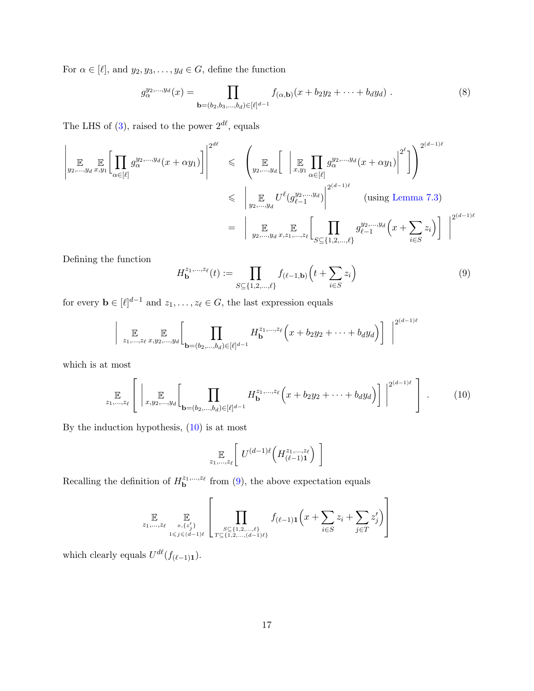For  $\alpha \in [\ell]$ , and  $y_2, y_3, \ldots, y_d \in G$ , define the function

$$
g_{\alpha}^{y_2,...,y_d}(x) = \prod_{\mathbf{b}=(b_2,b_3,...,b_d)\in [\ell]^{d-1}} f_{(\alpha,\mathbf{b})}(x+b_2y_2+\cdots+b_dy_d) . \tag{8}
$$

The LHS of [\(3\)](#page-14-3), raised to the power  $2^{d\ell}$ , equals

<span id="page-16-1"></span>
$$
\left| \mathbb{E}_{y_2,...,y_d} \mathbb{E}_{x,y_1} \left[ \prod_{\alpha \in [\ell]} g_{\alpha}^{y_2,...,y_d} (x + \alpha y_1) \right] \right|^{2^{d\ell}} \leq \left( \mathbb{E}_{y_2,...,y_d} \left[ \left| \mathbb{E}_{x,y_1} \prod_{\alpha \in [\ell]} g_{\alpha}^{y_2,...,y_d} (x + \alpha y_1) \right|^{2^{\ell}} \right] \right)^{2^{(d-1)\ell}}
$$
\n
$$
\leq \left| \mathbb{E}_{y_2,...,y_d} U^{\ell} (g_{\ell-1}^{y_2,...,y_d}) \right|^{2^{(d-1)\ell}} \text{ (using Lemma 7.3)}
$$
\n
$$
= \left| \mathbb{E}_{y_2,...,y_d} \mathbb{E}_{x,z_1,...,z_\ell} \left[ \prod_{S \subseteq \{1,2,...,\ell\}} g_{\ell-1}^{y_2,...,y_d} (x + \sum_{i \in S} z_i) \right] \right|^{2^{(d-1)\ell}}
$$

Defining the function

$$
H_{\mathbf{b}}^{z_1,\dots,z_\ell}(t) := \prod_{S \subseteq \{1,2,\dots,\ell\}} f_{(\ell-1,\mathbf{b})}\left(t + \sum_{i \in S} z_i\right) \tag{9}
$$

for every  $\mathbf{b} \in [\ell]^{d-1}$  and  $z_1, \ldots, z_\ell \in G$ , the last expression equals

$$
\Bigg| \mathop{\mathbb{E}}_{z_1,\dots,z_{\ell}} \mathop{\mathbb{E}}_{x,y_2,\dots,y_d} \Bigg[ \prod_{\mathbf{b}=(b_2,\dots,b_d)\in [\ell]^{d-1}} H_{\mathbf{b}}^{z_1,\dots,z_{\ell}} \Big(x + b_2y_2 + \dots + b_dy_d\Big) \Bigg] \Bigg|^{2^{(d-1)\ell}}
$$

which is at most

<span id="page-16-0"></span>
$$
\mathbb{E}_{z_1,\dots,z_\ell} \left[ \left| \mathbb{E}_{x,y_2,\dots,y_d} \left[ \prod_{\mathbf{b}=(b_2,\dots,b_d) \in [\ell]^{d-1}} H_{\mathbf{b}}^{z_1,\dots,z_\ell} \left( x + b_2 y_2 + \dots + b_d y_d \right) \right] \right|^{2^{(d-1)\ell}} \right]. \tag{10}
$$

By the induction hypothesis, [\(10\)](#page-16-0) is at most

$$
\mathop{\mathbb{E}}_{z_1,\ldots,z_\ell}\left[\;U^{(d-1)\ell}\left(H^{z_1,\ldots,z_\ell}_{(\ell-1)\mathbf{1}}\right)\;\right]
$$

Recalling the definition of  $H_{\mathbf{b}}^{z_1,...,z_\ell}$  from [\(9\)](#page-16-1), the above expectation equals

$$
\mathop{\mathbb{E}}_{z_1,\ldots,z_\ell} \mathop{\mathbb{E}}_{z,\{z'_j\} \atop 1 \leqslant j \leqslant (d-1)^{\ell}} \left[ \prod_{S \subseteq \{1,2,\ldots,\ell\} \atop T \subseteq \{1,2,\ldots,(d-1)\ell\}} f_{(\ell-1)\mathbf{1}} \left( x + \sum_{i \in S} z_i + \sum_{j \in T} z'_j \right) \right]
$$

which clearly equals  $U^{d\ell}(f_{(\ell-1)\mathbf{1}}).$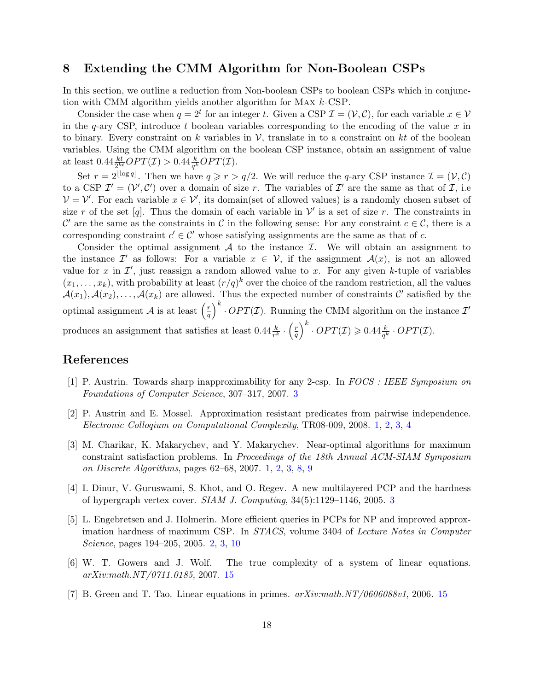### <span id="page-17-3"></span>8 Extending the CMM Algorithm for Non-Boolean CSPs

In this section, we outline a reduction from Non-boolean CSPs to boolean CSPs which in conjunction with CMM algorithm yields another algorithm for Max k-CSP.

Consider the case when  $q = 2^t$  for an integer t. Given a CSP  $\mathcal{I} = (\mathcal{V}, \mathcal{C})$ , for each variable  $x \in \mathcal{V}$ in the q-ary CSP, introduce t boolean variables corresponding to the encoding of the value  $x$  in to binary. Every constraint on k variables in V, translate in to a constraint on kt of the boolean variables. Using the CMM algorithm on the boolean CSP instance, obtain an assignment of value at least  $0.44 \frac{kt}{2^{kt}} OPT(\mathcal{I}) > 0.44 \frac{k}{q^k} OPT(\mathcal{I}).$ 

Set  $r = 2^{\lfloor \log q \rfloor}$ . Then we have  $q \geq r > q/2$ . We will reduce the q-ary CSP instance  $\mathcal{I} = (\mathcal{V}, \mathcal{C})$ to a CSP  $\mathcal{I}' = (\mathcal{V}', \mathcal{C}')$  over a domain of size r. The variables of  $\mathcal{I}'$  are the same as that of  $\mathcal{I}$ , i.e  $V = V'$ . For each variable  $x \in V'$ , its domain(set of allowed values) is a randomly chosen subset of size r of the set [q]. Thus the domain of each variable in  $\mathcal V'$  is a set of size r. The constraints in C' are the same as the constraints in C in the following sense: For any constraint  $c \in \mathcal{C}$ , there is a corresponding constraint  $c' \in \mathcal{C}'$  whose satisfying assignments are the same as that of c.

Consider the optimal assignment  $A$  to the instance  $I$ . We will obtain an assignment to the instance  $\mathcal{I}'$  as follows: For a variable  $x \in \mathcal{V}$ , if the assignment  $\mathcal{A}(x)$ , is not an allowed value for x in  $\mathcal{I}'$ , just reassign a random allowed value to x. For any given k-tuple of variables  $(x_1, \ldots, x_k)$ , with probability at least  $(r/q)^k$  over the choice of the random restriction, all the values  $\mathcal{A}(x_1), \mathcal{A}(x_2), \ldots, \mathcal{A}(x_k)$  are allowed. Thus the expected number of constraints  $\mathcal{C}'$  satisfied by the optimal assignment A is at least  $\left(\frac{r}{a}\right)$  $\left(\frac{r}{q}\right)^k \cdot OPT(\mathcal{I})$ . Running the CMM algorithm on the instance  $\mathcal{I}'$ produces an assignment that satisfies at least  $0.44 \frac{k}{r^k} \cdot \left(\frac{r}{q}\right)$  $\left(\frac{r}{q}\right)^k \cdot OPT(\mathcal{I}) \geqslant 0.44 \frac{k}{q^k} \cdot OPT(\mathcal{I}).$ 

## References

- <span id="page-17-5"></span>[1] P. Austrin. Towards sharp inapproximability for any 2-csp. In FOCS : IEEE Symposium on Foundations of Computer Science, 307–317, 2007. [3](#page-2-0)
- <span id="page-17-0"></span>[2] P. Austrin and E. Mossel. Approximation resistant predicates from pairwise independence. Electronic Colloqium on Computational Complexity, TR08-009, 2008. [1,](#page-0-0) [2,](#page-1-0) [3,](#page-2-0) [4](#page-3-1)
- <span id="page-17-1"></span>[3] M. Charikar, K. Makarychev, and Y. Makarychev. Near-optimal algorithms for maximum constraint satisfaction problems. In Proceedings of the 18th Annual ACM-SIAM Symposium on Discrete Algorithms, pages 62–68, 2007. [1,](#page-0-0) [2,](#page-1-0) [3,](#page-2-0) [8,](#page-7-1) [9](#page-8-0)
- <span id="page-17-4"></span>[4] I. Dinur, V. Guruswami, S. Khot, and O. Regev. A new multilayered PCP and the hardness of hypergraph vertex cover. SIAM J. Computing, 34(5):1129–1146, 2005. [3](#page-2-0)
- <span id="page-17-2"></span>[5] L. Engebretsen and J. Holmerin. More efficient queries in PCPs for NP and improved approximation hardness of maximum CSP. In STACS, volume 3404 of Lecture Notes in Computer Science, pages 194–205, 2005. [2,](#page-1-0) [3,](#page-2-0) [10](#page-9-1)
- <span id="page-17-7"></span>[6] W. T. Gowers and J. Wolf. The true complexity of a system of linear equations. arXiv:math.NT/0711.0185, 2007. [15](#page-14-5)
- <span id="page-17-6"></span>[7] B. Green and T. Tao. Linear equations in primes.  $arXiv:math.NT/0606088vt$ , 2006. [15](#page-14-5)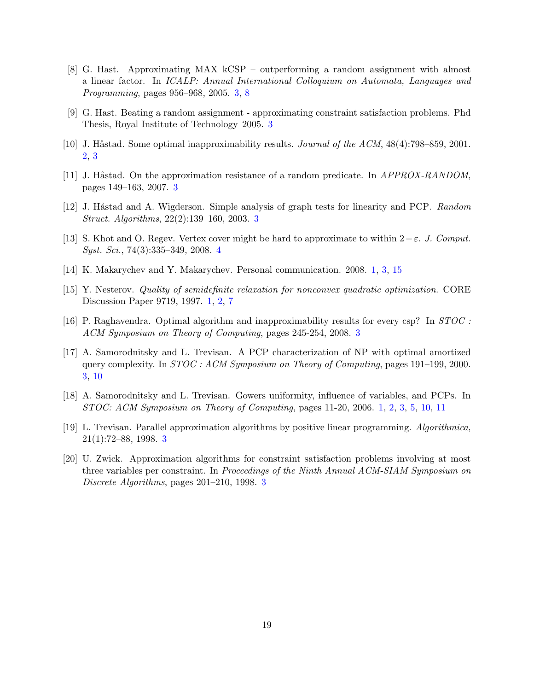- <span id="page-18-5"></span>[8] G. Hast. Approximating MAX kCSP – outperforming a random assignment with almost a linear factor. In ICALP: Annual International Colloquium on Automata, Languages and Programming, pages 956–968, 2005. [3,](#page-2-0) [8](#page-7-1)
- <span id="page-18-9"></span>[9] G. Hast. Beating a random assignment - approximating constraint satisfaction problems. Phd Thesis, Royal Institute of Technology 2005. [3](#page-2-0)
- <span id="page-18-3"></span>[10] J. Håstad. Some optimal inapproximability results. *Journal of the ACM*,  $48(4)$ :798–859, 2001. [2,](#page-1-0) [3](#page-2-0)
- <span id="page-18-10"></span>[11] J. Håstad. On the approximation resistance of a random predicate. In *APPROX-RANDOM*, pages 149–163, 2007. [3](#page-2-0)
- <span id="page-18-7"></span>[12] J. Håstad and A. Wigderson. Simple analysis of graph tests for linearity and PCP. Random Struct. Algorithms, 22(2):139–160, 2003. [3](#page-2-0)
- <span id="page-18-12"></span>[13] S. Khot and O. Regev. Vertex cover might be hard to approximate to within  $2-\varepsilon$ . J. Comput. Syst. Sci., 74(3):335–349, 2008. [4](#page-3-1)
- <span id="page-18-1"></span>[14] K. Makarychev and Y. Makarychev. Personal communication. 2008. [1,](#page-0-0) [3,](#page-2-0) [15](#page-14-5)
- <span id="page-18-2"></span>[15] Y. Nesterov. Quality of semidefinite relaxation for nonconvex quadratic optimization. CORE Discussion Paper 9719, 1997. [1,](#page-0-0) [2,](#page-1-0) [7](#page-6-0)
- <span id="page-18-11"></span>[16] P. Raghavendra. Optimal algorithm and inapproximability results for every csp? In STOC : ACM Symposium on Theory of Computing, pages 245-254, 2008. [3](#page-2-0)
- <span id="page-18-6"></span>[17] A. Samorodnitsky and L. Trevisan. A PCP characterization of NP with optimal amortized query complexity. In STOC : ACM Symposium on Theory of Computing, pages 191–199, 2000. [3,](#page-2-0) [10](#page-9-1)
- <span id="page-18-0"></span>[18] A. Samorodnitsky and L. Trevisan. Gowers uniformity, influence of variables, and PCPs. In STOC: ACM Symposium on Theory of Computing, pages 11-20, 2006. [1,](#page-0-0) [2,](#page-1-0) [3,](#page-2-0) [5,](#page-4-1) [10,](#page-9-1) [11](#page-10-1)
- <span id="page-18-4"></span>[19] L. Trevisan. Parallel approximation algorithms by positive linear programming. Algorithmica, 21(1):72–88, 1998. [3](#page-2-0)
- <span id="page-18-8"></span>[20] U. Zwick. Approximation algorithms for constraint satisfaction problems involving at most three variables per constraint. In Proceedings of the Ninth Annual ACM-SIAM Symposium on Discrete Algorithms, pages 201–210, 1998. [3](#page-2-0)